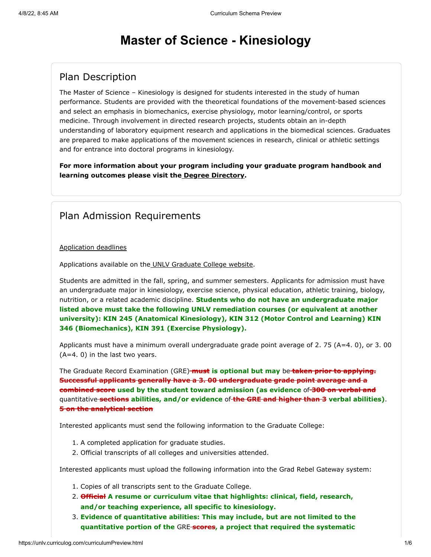# **Master of Science - Kinesiology**

# Plan Description

The Master of Science – Kinesiology is designed for students interested in the study of human performance. Students are provided with the theoretical foundations of the movement-based sciences and select an emphasis in biomechanics, exercise physiology, motor learning/control, or sports medicine. Through involvement in directed research projects, students obtain an in-depth understanding of laboratory equipment research and applications in the biomedical sciences. Graduates are prepared to make applications of the movement sciences in research, clinical or athletic settings and for entrance into doctoral programs in kinesiology.

**For more information about your program including your graduate program handbook and learning outcomes please visit the [Degree Directory](http://www.unlv.edu/degree/ms-kinesiology).**

## Plan Admission Requirements

#### [Application deadlines](http://www.unlv.edu/graduatecollege/application-deadlines)

Applications available on th[e UNLV Graduate College website.](http://graduatecollege.unlv.edu/admissions/)

Students are admitted in the fall, spring, and summer semesters. Applicants for admission must have an undergraduate major in kinesiology, exercise science, physical education, athletic training, biology, nutrition, or a related academic discipline. **Students who do not have an undergraduate major listed above must take the following UNLV remediation courses (or equivalent at another university): KIN 245 (Anatomical Kinesiology), KIN 312 (Motor Control and Learning) KIN 346 (Biomechanics), KIN 391 (Exercise Physiology).**

Applicants must have a minimum overall undergraduate grade point average of 2. 75 (A=4. 0), or 3. 00 (A=4. 0) in the last two years.

The Graduate Record Examination (GRE) **must is optional but may** be **taken prior to applying. Successful applicants generally have a 3. 00 undergraduate grade point average and a combined score used by the student toward admission (as evidence** of **300 on verbal and** quantitative **sections abilities, and/or evidence** of **the GRE and higher than 3 verbal abilities)**. **5 on the analytical section**

Interested applicants must send the following information to the Graduate College:

- 1. A completed application for graduate studies.
- 2. Official transcripts of all colleges and universities attended.

Interested applicants must upload the following information into the Grad Rebel Gateway system:

- 1. Copies of all transcripts sent to the Graduate College.
- 2. **Official A resume or curriculum vitae that highlights: clinical, field, research, and/or teaching experience, all specific to kinesiology.**
- 3. **Evidence of quantitative abilities: This may include, but are not limited to the quantitative portion of the** GRE **scores, a project that required the systematic**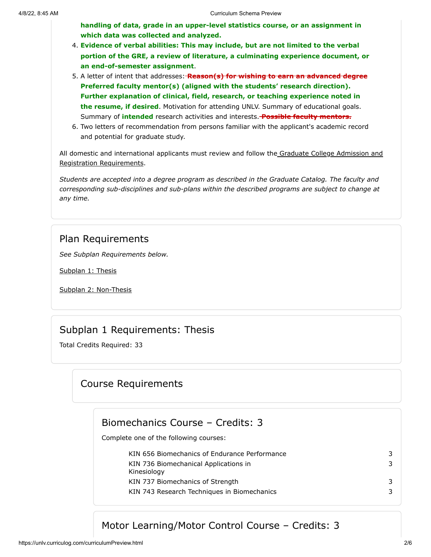**handling of data, grade in an upper-level statistics course, or an assignment in which data was collected and analyzed.**

- 4. **Evidence of verbal abilities: This may include, but are not limited to the verbal portion of the GRE, a review of literature, a culminating experience document, or an end-of-semester assignment**.
- 5. A letter of intent that addresses: **Reason(s) for wishing to earn an advanced degree Preferred faculty mentor(s) (aligned with the students' research direction). Further explanation of clinical, field, research, or teaching experience noted in the resume, if desired**. Motivation for attending UNLV. Summary of educational goals. Summary of **intended** research activities and interests. **Possible faculty mentors.**
- 6. Two letters of recommendation from persons familiar with the applicant's academic record and potential for graduate study.

[All domestic and international applicants must review and follow the Graduate College Admission and](http://www.unlv.edu/graduatecollege/futurestudents) Registration Requirements.

*Students are accepted into a degree program as described in the Graduate Catalog. The faculty and corresponding sub-disciplines and sub-plans within the described programs are subject to change at any time.*

#### Plan Requirements

*See Subplan Requirements below.*

[Subplan 1: Thesis](#page-1-0)

[Subplan 2: Non-Thesis](#page-3-0)

# Subplan 1 Requirements: Thesis

<span id="page-1-0"></span>Total Credits Required: 33

# Course Requirements

#### Biomechanics Course – Credits: 3

Complete one of the following courses:

KIN 656 Biomechanics of Endurance Performance 33 KIN 736 Biomechanical Applications in Kinesiology 3 KIN 737 Biomechanics of Strength 3 KIN 743 Research Techniques in Biomechanics 3

# Motor Learning/Motor Control Course – Credits: 3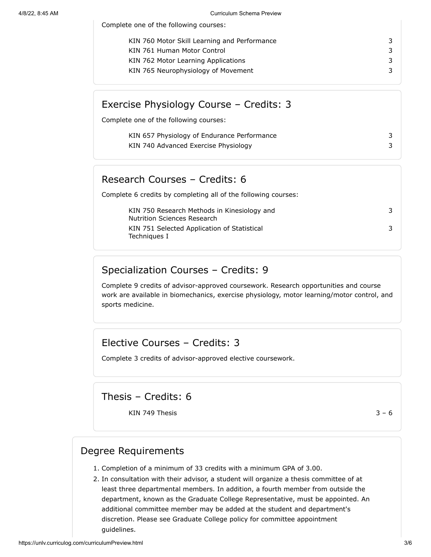Complete one of the following courses:

| KIN 760 Motor Skill Learning and Performance | 3 |
|----------------------------------------------|---|
| KIN 761 Human Motor Control                  | 3 |
| KIN 762 Motor Learning Applications          | 3 |
| KIN 765 Neurophysiology of Movement          | 3 |
|                                              |   |

## Exercise Physiology Course – Credits: 3

Complete one of the following courses:

| KIN 657 Physiology of Endurance Performance |  |
|---------------------------------------------|--|
| KIN 740 Advanced Exercise Physiology        |  |

## Research Courses – Credits: 6

Complete 6 credits by completing all of the following courses:

KIN 750 Research Methods in Kinesiology and Nutrition Sciences Research KIN 751 Selected Application of Statistical Techniques I

# Specialization Courses – Credits: 9

Complete 9 credits of advisor-approved coursework. Research opportunities and course work are available in biomechanics, exercise physiology, motor learning/motor control, and sports medicine.

# Elective Courses – Credits: 3

Complete 3 credits of advisor-approved elective coursework.

Thesis – Credits: 6

KIN 749 Thesis  $3 - 6$ 

3

3

#### Degree Requirements

- 1. Completion of a minimum of 33 credits with a minimum GPA of 3.00.
- 2. In consultation with their advisor, a student will organize a thesis committee of at least three departmental members. In addition, a fourth member from outside the department, known as the Graduate College Representative, must be appointed. An additional committee member may be added at the student and department's discretion. Please see Graduate College policy for committee appointment guidelines.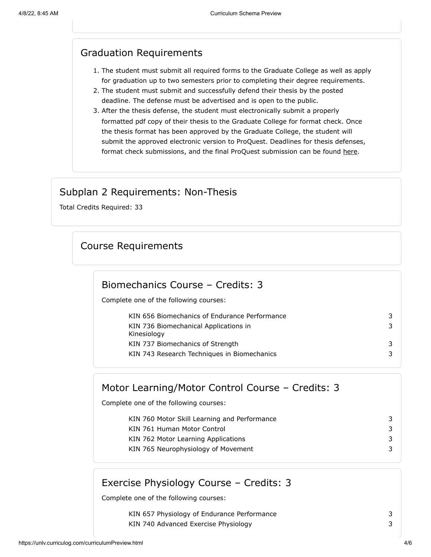# Graduation Requirements

- 1. The student must submit all required forms to the Graduate College as well as apply for graduation up to two semesters prior to completing their degree requirements.
- 2. The student must submit and successfully defend their thesis by the posted deadline. The defense must be advertised and is open to the public.
- 3. After the thesis defense, the student must electronically submit a properly formatted pdf copy of their thesis to the Graduate College for format check. Once the thesis format has been approved by the Graduate College, the student will submit the approved electronic version to ProQuest. Deadlines for thesis defenses, format check submissions, and the final ProQuest submission can be found [here.](https://www.unlv.edu/graduatecollege/graduation-deadlines)

# Subplan 2 Requirements: Non-Thesis

<span id="page-3-0"></span>Total Credits Required: 33

# Course Requirements

#### Biomechanics Course – Credits: 3

Complete one of the following courses:

| KIN 656 Biomechanics of Endurance Performance | 3 |
|-----------------------------------------------|---|
| KIN 736 Biomechanical Applications in         | 3 |
| Kinesiology                                   |   |
| KIN 737 Biomechanics of Strength              | 3 |
| KIN 743 Research Techniques in Biomechanics   | 3 |

# KIN 760 Motor Skill Learning and Performance 3 KIN 761 Human Motor Control 3 KIN 762 Motor Learning Applications 3 Motor Learning/Motor Control Course – Credits: 3 Complete one of the following courses:

KIN 765 Neurophysiology of Movement 33

# Exercise Physiology Course – Credits: 3

Complete one of the following courses:

KIN 657 Physiology of Endurance Performance 3 KIN 740 Advanced Exercise Physiology 3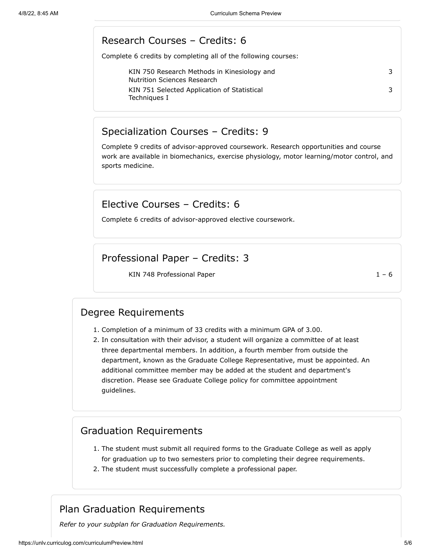# Research Courses – Credits: 6

Complete 6 credits by completing all of the following courses:

| KIN 750 Research Methods in Kinesiology and<br>Nutrition Sciences Research |  |
|----------------------------------------------------------------------------|--|
| KIN 751 Selected Application of Statistical<br>Techniques I                |  |

## Specialization Courses – Credits: 9

Complete 9 credits of advisor-approved coursework. Research opportunities and course work are available in biomechanics, exercise physiology, motor learning/motor control, and sports medicine.

## Elective Courses – Credits: 6

Complete 6 credits of advisor-approved elective coursework.

#### Professional Paper – Credits: 3

KIN 748 Professional Paper  $1 - 6$ 

#### Degree Requirements

- 1. Completion of a minimum of 33 credits with a minimum GPA of 3.00.
- 2. In consultation with their advisor, a student will organize a committee of at least three departmental members. In addition, a fourth member from outside the department, known as the Graduate College Representative, must be appointed. An additional committee member may be added at the student and department's discretion. Please see Graduate College policy for committee appointment guidelines.

#### Graduation Requirements

- 1. The student must submit all required forms to the Graduate College as well as apply for graduation up to two semesters prior to completing their degree requirements.
- 2. The student must successfully complete a professional paper.

#### Plan Graduation Requirements

*Refer to your subplan for Graduation Requirements.*